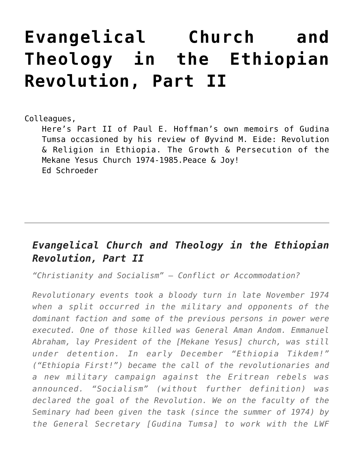## **[Evangelical Church and](https://crossings.org/evangelical-church-and-theology-in-the-ethiopian-revolution-part-ii/) [Theology in the Ethiopian](https://crossings.org/evangelical-church-and-theology-in-the-ethiopian-revolution-part-ii/) [Revolution, Part II](https://crossings.org/evangelical-church-and-theology-in-the-ethiopian-revolution-part-ii/)**

Colleagues,

Here's Part II of Paul E. Hoffman's own memoirs of Gudina Tumsa occasioned by his review of Øyvind M. Eide: Revolution & Religion in Ethiopia. The Growth & Persecution of the Mekane Yesus Church 1974-1985.Peace & Joy! Ed Schroeder

## *Evangelical Church and Theology in the Ethiopian Revolution, Part II*

*"Christianity and Socialism" – Conflict or Accommodation?*

*Revolutionary events took a bloody turn in late November 1974 when a split occurred in the military and opponents of the dominant faction and some of the previous persons in power were executed. One of those killed was General Aman Andom. Emmanuel Abraham, lay President of the [Mekane Yesus] church, was still under detention. In early December "Ethiopia Tikdem!" ("Ethiopia First!") became the call of the revolutionaries and a new military campaign against the Eritrean rebels was announced. "Socialism" (without further definition) was declared the goal of the Revolution. We on the faculty of the Seminary had been given the task (since the summer of 1974) by the General Secretary [Gudina Tumsa] to work with the LWF*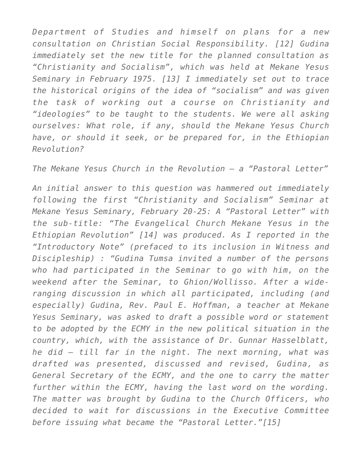*Department of Studies and himself on plans for a new consultation on Christian Social Responsibility. [12] Gudina immediately set the new title for the planned consultation as "Christianity and Socialism", which was held at Mekane Yesus Seminary in February 1975. [13] I immediately set out to trace the historical origins of the idea of "socialism" and was given the task of working out a course on Christianity and "ideologies" to be taught to the students. We were all asking ourselves: What role, if any, should the Mekane Yesus Church have, or should it seek, or be prepared for, in the Ethiopian Revolution?*

*The Mekane Yesus Church in the Revolution – a "Pastoral Letter"*

*An initial answer to this question was hammered out immediately following the first "Christianity and Socialism" Seminar at Mekane Yesus Seminary, February 20-25: A "Pastoral Letter" with the sub-title: "The Evangelical Church Mekane Yesus in the Ethiopian Revolution" [14] was produced. As I reported in the "Introductory Note" (prefaced to its inclusion in Witness and Discipleship) : "Gudina Tumsa invited a number of the persons who had participated in the Seminar to go with him, on the weekend after the Seminar, to Ghion/Wollisso. After a wideranging discussion in which all participated, including (and especially) Gudina, Rev. Paul E. Hoffman, a teacher at Mekane Yesus Seminary, was asked to draft a possible word or statement to be adopted by the ECMY in the new political situation in the country, which, with the assistance of Dr. Gunnar Hasselblatt, he did – till far in the night. The next morning, what was drafted was presented, discussed and revised, Gudina, as General Secretary of the ECMY, and the one to carry the matter further within the ECMY, having the last word on the wording. The matter was brought by Gudina to the Church Officers, who decided to wait for discussions in the Executive Committee before issuing what became the "Pastoral Letter."[15]*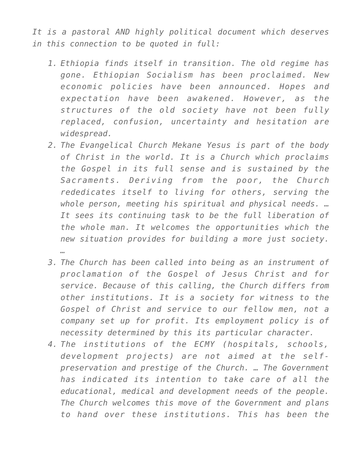*It is a pastoral AND highly political document which deserves in this connection to be quoted in full:*

- *1. Ethiopia finds itself in transition. The old regime has gone. Ethiopian Socialism has been proclaimed. New economic policies have been announced. Hopes and expectation have been awakened. However, as the structures of the old society have not been fully replaced, confusion, uncertainty and hesitation are widespread.*
- *2. The Evangelical Church Mekane Yesus is part of the body of Christ in the world. It is a Church which proclaims the Gospel in its full sense and is sustained by the Sacraments. Deriving from the poor, the Church rededicates itself to living for others, serving the whole person, meeting his spiritual and physical needs. … It sees its continuing task to be the full liberation of the whole man. It welcomes the opportunities which the new situation provides for building a more just society. …*
- *3. The Church has been called into being as an instrument of proclamation of the Gospel of Jesus Christ and for service. Because of this calling, the Church differs from other institutions. It is a society for witness to the Gospel of Christ and service to our fellow men, not a company set up for profit. Its employment policy is of necessity determined by this its particular character.*
- *4. The institutions of the ECMY (hospitals, schools, development projects) are not aimed at the selfpreservation and prestige of the Church. … The Government has indicated its intention to take care of all the educational, medical and development needs of the people. The Church welcomes this move of the Government and plans to hand over these institutions. This has been the*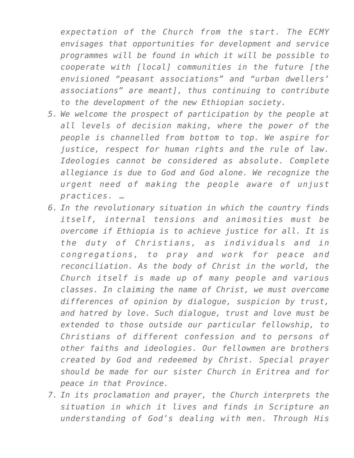*expectation of the Church from the start. The ECMY envisages that opportunities for development and service programmes will be found in which it will be possible to cooperate with [local] communities in the future [the envisioned "peasant associations" and "urban dwellers' associations" are meant], thus continuing to contribute to the development of the new Ethiopian society.*

- *5. We welcome the prospect of participation by the people at all levels of decision making, where the power of the people is channelled from bottom to top. We aspire for justice, respect for human rights and the rule of law. Ideologies cannot be considered as absolute. Complete allegiance is due to God and God alone. We recognize the urgent need of making the people aware of unjust practices. …*
- *6. In the revolutionary situation in which the country finds itself, internal tensions and animosities must be overcome if Ethiopia is to achieve justice for all. It is the duty of Christians, as individuals and in congregations, to pray and work for peace and reconciliation. As the body of Christ in the world, the Church itself is made up of many people and various classes. In claiming the name of Christ, we must overcome differences of opinion by dialogue, suspicion by trust, and hatred by love. Such dialogue, trust and love must be extended to those outside our particular fellowship, to Christians of different confession and to persons of other faiths and ideologies. Our fellowmen are brothers created by God and redeemed by Christ. Special prayer should be made for our sister Church in Eritrea and for peace in that Province.*
- *7. In its proclamation and prayer, the Church interprets the situation in which it lives and finds in Scripture an understanding of God's dealing with men. Through His*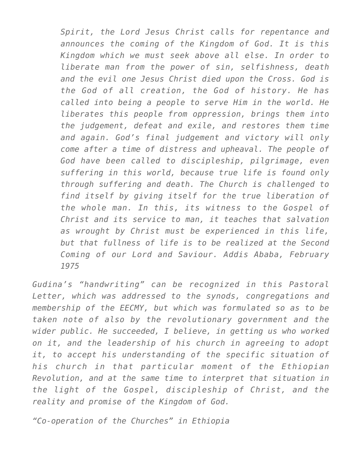*Spirit, the Lord Jesus Christ calls for repentance and announces the coming of the Kingdom of God. It is this Kingdom which we must seek above all else. In order to liberate man from the power of sin, selfishness, death and the evil one Jesus Christ died upon the Cross. God is the God of all creation, the God of history. He has called into being a people to serve Him in the world. He liberates this people from oppression, brings them into the judgement, defeat and exile, and restores them time and again. God's final judgement and victory will only come after a time of distress and upheaval. The people of God have been called to discipleship, pilgrimage, even suffering in this world, because true life is found only through suffering and death. The Church is challenged to find itself by giving itself for the true liberation of the whole man. In this, its witness to the Gospel of Christ and its service to man, it teaches that salvation as wrought by Christ must be experienced in this life, but that fullness of life is to be realized at the Second Coming of our Lord and Saviour. Addis Ababa, February 1975*

*Gudina's "handwriting" can be recognized in this Pastoral Letter, which was addressed to the synods, congregations and membership of the EECMY, but which was formulated so as to be taken note of also by the revolutionary government and the wider public. He succeeded, I believe, in getting us who worked on it, and the leadership of his church in agreeing to adopt it, to accept his understanding of the specific situation of his church in that particular moment of the Ethiopian Revolution, and at the same time to interpret that situation in the light of the Gospel, discipleship of Christ, and the reality and promise of the Kingdom of God.*

*"Co-operation of the Churches" in Ethiopia*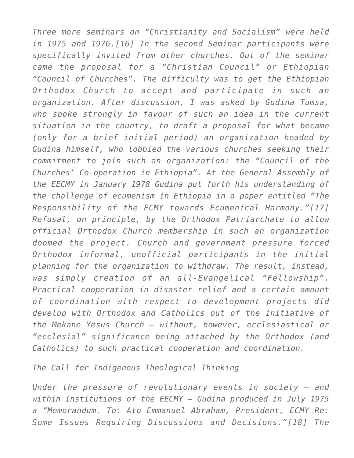*Three more seminars on "Christianity and Socialism" were held in 1975 and 1976.[16] In the second Seminar participants were specifically invited from other churches. Out of the seminar came the proposal for a "Christian Council" or Ethiopian "Council of Churches". The difficulty was to get the Ethiopian Orthodox Church to accept and participate in such an organization. After discussion, I was asked by Gudina Tumsa, who spoke strongly in favour of such an idea in the current situation in the country, to draft a proposal for what became (only for a brief initial period) an organization headed by Gudina himself, who lobbied the various churches seeking their commitment to join such an organization: the "Council of the Churches' Co-operation in Ethiopia". At the General Assembly of the EECMY in January 1978 Gudina put forth his understanding of the challenge of ecumenism in Ethiopia in a paper entitled "The Responsibility of the ECMY towards Ecumenical Harmony."[17] Refusal, on principle, by the Orthodox Patriarchate to allow official Orthodox Church membership in such an organization doomed the project. Church and government pressure forced Orthodox informal, unofficial participants in the initial planning for the organization to withdraw. The result, instead, was simply creation of an all-Evangelical "Fellowship". Practical cooperation in disaster relief and a certain amount of coordination with respect to development projects did develop with Orthodox and Catholics out of the initiative of the Mekane Yesus Church – without, however, ecclesiastical or "ecclesial" significance being attached by the Orthodox (and Catholics) to such practical cooperation and coordination.*

## *The Call for Indigenous Theological Thinking*

*Under the pressure of revolutionary events in society – and within institutions of the EECMY – Gudina produced in July 1975 a "Memorandum. To: Ato Emmanuel Abraham, President, ECMY Re: Some Issues Requiring Discussions and Decisions."[18] The*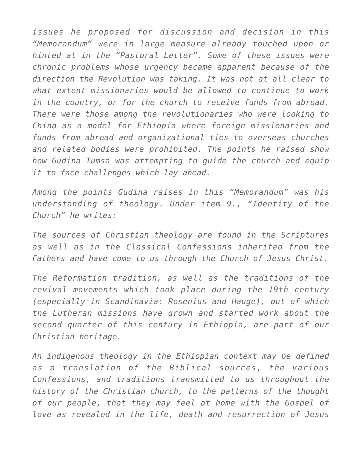*issues he proposed for discussion and decision in this "Memorandum" were in large measure already touched upon or hinted at in the "Pastoral Letter". Some of these issues were chronic problems whose urgency became apparent because of the direction the Revolution was taking. It was not at all clear to what extent missionaries would be allowed to continue to work in the country, or for the church to receive funds from abroad. There were those among the revolutionaries who were looking to China as a model for Ethiopia where foreign missionaries and funds from abroad and organizational ties to overseas churches and related bodies were prohibited. The points he raised show how Gudina Tumsa was attempting to guide the church and equip it to face challenges which lay ahead.*

*Among the points Gudina raises in this "Memorandum" was his understanding of theology. Under item 9., "Identity of the Church" he writes:*

*The sources of Christian theology are found in the Scriptures as well as in the Classical Confessions inherited from the Fathers and have come to us through the Church of Jesus Christ.*

*The Reformation tradition, as well as the traditions of the revival movements which took place during the 19th century (especially in Scandinavia: Rosenius and Hauge), out of which the Lutheran missions have grown and started work about the second quarter of this century in Ethiopia, are part of our Christian heritage.*

*An indigenous theology in the Ethiopian context may be defined as a translation of the Biblical sources, the various Confessions, and traditions transmitted to us throughout the history of the Christian church, to the patterns of the thought of our people, that they may feel at home with the Gospel of love as revealed in the life, death and resurrection of Jesus*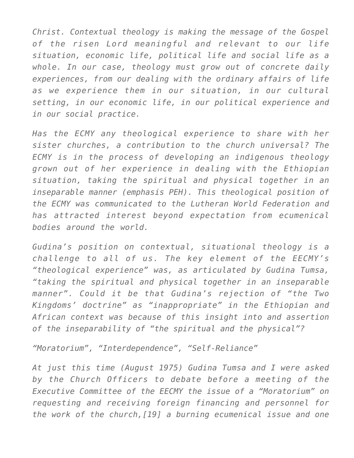*Christ. Contextual theology is making the message of the Gospel of the risen Lord meaningful and relevant to our life situation, economic life, political life and social life as a whole. In our case, theology must grow out of concrete daily experiences, from our dealing with the ordinary affairs of life as we experience them in our situation, in our cultural setting, in our economic life, in our political experience and in our social practice.*

*Has the ECMY any theological experience to share with her sister churches, a contribution to the church universal? The ECMY is in the process of developing an indigenous theology grown out of her experience in dealing with the Ethiopian situation, taking the spiritual and physical together in an inseparable manner (emphasis PEH). This theological position of the ECMY was communicated to the Lutheran World Federation and has attracted interest beyond expectation from ecumenical bodies around the world.*

*Gudina's position on contextual, situational theology is a challenge to all of us. The key element of the EECMY's "theological experience" was, as articulated by Gudina Tumsa, "taking the spiritual and physical together in an inseparable manner". Could it be that Gudina's rejection of "the Two Kingdoms' doctrine" as "inappropriate" in the Ethiopian and African context was because of this insight into and assertion of the inseparability of "the spiritual and the physical"?*

*"Moratorium", "Interdependence", "Self-Reliance"*

*At just this time (August 1975) Gudina Tumsa and I were asked by the Church Officers to debate before a meeting of the Executive Committee of the EECMY the issue of a "Moratorium" on requesting and receiving foreign financing and personnel for the work of the church,[19] a burning ecumenical issue and one*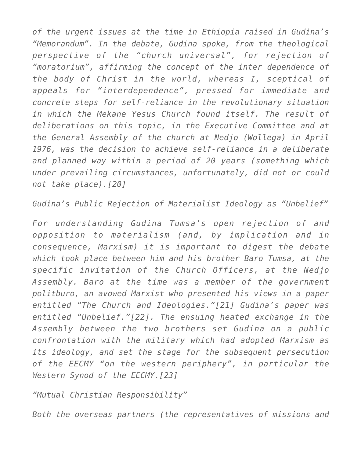*of the urgent issues at the time in Ethiopia raised in Gudina's "Memorandum". In the debate, Gudina spoke, from the theological perspective of the "church universal", for rejection of "moratorium", affirming the concept of the inter dependence of the body of Christ in the world, whereas I, sceptical of appeals for "interdependence", pressed for immediate and concrete steps for self-reliance in the revolutionary situation in which the Mekane Yesus Church found itself. The result of deliberations on this topic, in the Executive Committee and at the General Assembly of the church at Nedjo (Wollega) in April 1976, was the decision to achieve self-reliance in a deliberate and planned way within a period of 20 years (something which under prevailing circumstances, unfortunately, did not or could not take place).[20]*

*Gudina's Public Rejection of Materialist Ideology as "Unbelief"*

*For understanding Gudina Tumsa's open rejection of and opposition to materialism (and, by implication and in consequence, Marxism) it is important to digest the debate which took place between him and his brother Baro Tumsa, at the specific invitation of the Church Officers, at the Nedjo Assembly. Baro at the time was a member of the government politburo, an avowed Marxist who presented his views in a paper entitled "The Church and Ideologies."[21] Gudina's paper was entitled "Unbelief."[22]. The ensuing heated exchange in the Assembly between the two brothers set Gudina on a public confrontation with the military which had adopted Marxism as its ideology, and set the stage for the subsequent persecution of the EECMY "on the western periphery", in particular the Western Synod of the EECMY.[23]*

*"Mutual Christian Responsibility"*

*Both the overseas partners (the representatives of missions and*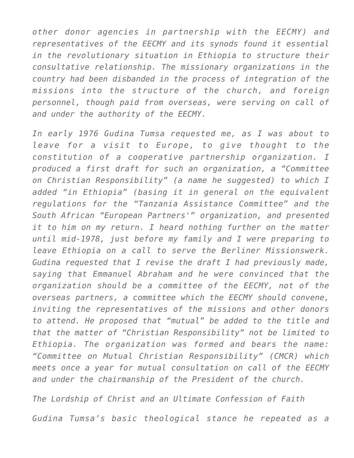*other donor agencies in partnership with the EECMY) and representatives of the EECMY and its synods found it essential in the revolutionary situation in Ethiopia to structure their consultative relationship. The missionary organizations in the country had been disbanded in the process of integration of the missions into the structure of the church, and foreign personnel, though paid from overseas, were serving on call of and under the authority of the EECMY.*

*In early 1976 Gudina Tumsa requested me, as I was about to leave for a visit to Europe, to give thought to the constitution of a cooperative partnership organization. I produced a first draft for such an organization, a "Committee on Christian Responsibility" (a name he suggested) to which I added "in Ethiopia" (basing it in general on the equivalent regulations for the "Tanzania Assistance Committee" and the South African "European Partners'" organization, and presented it to him on my return. I heard nothing further on the matter until mid-1978, just before my family and I were preparing to leave Ethiopia on a call to serve the Berliner Missionswerk. Gudina requested that I revise the draft I had previously made, saying that Emmanuel Abraham and he were convinced that the organization should be a committee of the EECMY, not of the overseas partners, a committee which the EECMY should convene, inviting the representatives of the missions and other donors to attend. He proposed that "mutual" be added to the title and that the matter of "Christian Responsibility" not be limited to Ethiopia. The organization was formed and bears the name: "Committee on Mutual Christian Responsibility" (CMCR) which meets once a year for mutual consultation on call of the EECMY and under the chairmanship of the President of the church.*

*The Lordship of Christ and an Ultimate Confession of Faith*

*Gudina Tumsa's basic theological stance he repeated as a*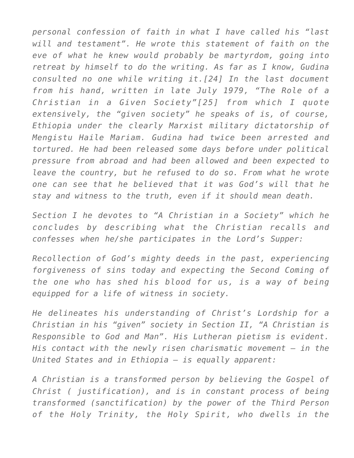*personal confession of faith in what I have called his "last will and testament". He wrote this statement of faith on the eve of what he knew would probably be martyrdom, going into retreat by himself to do the writing. As far as I know, Gudina consulted no one while writing it.[24] In the last document from his hand, written in late July 1979, "The Role of a Christian in a Given Society"[25] from which I quote extensively, the "given society" he speaks of is, of course, Ethiopia under the clearly Marxist military dictatorship of Mengistu Haile Mariam. Gudina had twice been arrested and tortured. He had been released some days before under political pressure from abroad and had been allowed and been expected to leave the country, but he refused to do so. From what he wrote one can see that he believed that it was God's will that he stay and witness to the truth, even if it should mean death.*

*Section I he devotes to "A Christian in a Society" which he concludes by describing what the Christian recalls and confesses when he/she participates in the Lord's Supper:*

*Recollection of God's mighty deeds in the past, experiencing forgiveness of sins today and expecting the Second Coming of the one who has shed his blood for us, is a way of being equipped for a life of witness in society.*

*He delineates his understanding of Christ's Lordship for a Christian in his "given" society in Section II, "A Christian is Responsible to God and Man". His Lutheran pietism is evident. His contact with the newly risen charismatic movement – in the United States and in Ethiopia – is equally apparent:*

*A Christian is a transformed person by believing the Gospel of Christ ( justification), and is in constant process of being transformed (sanctification) by the power of the Third Person of the Holy Trinity, the Holy Spirit, who dwells in the*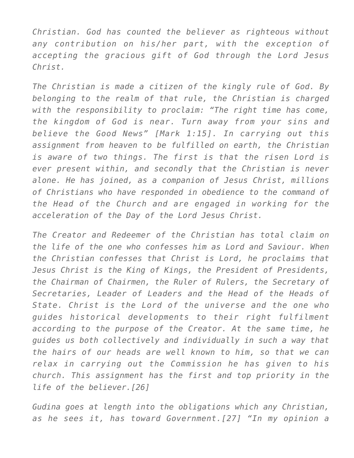*Christian. God has counted the believer as righteous without any contribution on his/her part, with the exception of accepting the gracious gift of God through the Lord Jesus Christ.*

*The Christian is made a citizen of the kingly rule of God. By belonging to the realm of that rule, the Christian is charged with the responsibility to proclaim: "The right time has come, the kingdom of God is near. Turn away from your sins and believe the Good News" [Mark 1:15]. In carrying out this assignment from heaven to be fulfilled on earth, the Christian is aware of two things. The first is that the risen Lord is ever present within, and secondly that the Christian is never alone. He has joined, as a companion of Jesus Christ, millions of Christians who have responded in obedience to the command of the Head of the Church and are engaged in working for the acceleration of the Day of the Lord Jesus Christ.*

*The Creator and Redeemer of the Christian has total claim on the life of the one who confesses him as Lord and Saviour. When the Christian confesses that Christ is Lord, he proclaims that Jesus Christ is the King of Kings, the President of Presidents, the Chairman of Chairmen, the Ruler of Rulers, the Secretary of Secretaries, Leader of Leaders and the Head of the Heads of State. Christ is the Lord of the universe and the one who guides historical developments to their right fulfilment according to the purpose of the Creator. At the same time, he guides us both collectively and individually in such a way that the hairs of our heads are well known to him, so that we can relax in carrying out the Commission he has given to his church. This assignment has the first and top priority in the life of the believer.[26]*

*Gudina goes at length into the obligations which any Christian, as he sees it, has toward Government.[27] "In my opinion a*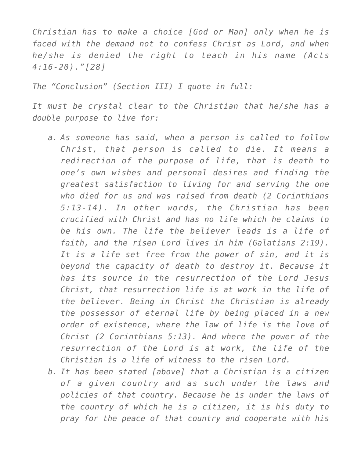*Christian has to make a choice [God or Man] only when he is faced with the demand not to confess Christ as Lord, and when he/she is denied the right to teach in his name (Acts 4:16-20)."[28]*

*The "Conclusion" (Section III) I quote in full:*

*It must be crystal clear to the Christian that he/she has a double purpose to live for:*

- *a. As someone has said, when a person is called to follow Christ, that person is called to die. It means a redirection of the purpose of life, that is death to one's own wishes and personal desires and finding the greatest satisfaction to living for and serving the one who died for us and was raised from death (2 Corinthians 5:13-14). In other words, the Christian has been crucified with Christ and has no life which he claims to be his own. The life the believer leads is a life of faith, and the risen Lord lives in him (Galatians 2:19). It is a life set free from the power of sin, and it is beyond the capacity of death to destroy it. Because it has its source in the resurrection of the Lord Jesus Christ, that resurrection life is at work in the life of the believer. Being in Christ the Christian is already the possessor of eternal life by being placed in a new order of existence, where the law of life is the love of Christ (2 Corinthians 5:13). And where the power of the resurrection of the Lord is at work, the life of the Christian is a life of witness to the risen Lord.*
- *b. It has been stated [above] that a Christian is a citizen of a given country and as such under the laws and policies of that country. Because he is under the laws of the country of which he is a citizen, it is his duty to pray for the peace of that country and cooperate with his*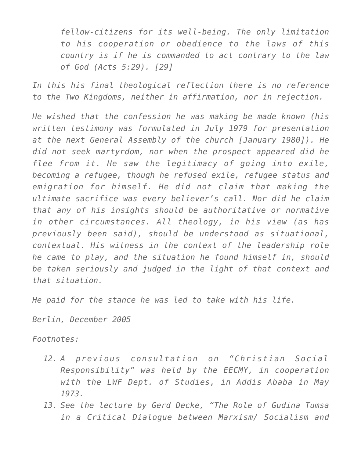*fellow-citizens for its well-being. The only limitation to his cooperation or obedience to the laws of this country is if he is commanded to act contrary to the law of God (Acts 5:29). [29]*

*In this his final theological reflection there is no reference to the Two Kingdoms, neither in affirmation, nor in rejection.*

*He wished that the confession he was making be made known (his written testimony was formulated in July 1979 for presentation at the next General Assembly of the church [January 1980]). He did not seek martyrdom, nor when the prospect appeared did he flee from it. He saw the legitimacy of going into exile, becoming a refugee, though he refused exile, refugee status and emigration for himself. He did not claim that making the ultimate sacrifice was every believer's call. Nor did he claim that any of his insights should be authoritative or normative in other circumstances. All theology, in his view (as has previously been said), should be understood as situational, contextual. His witness in the context of the leadership role he came to play, and the situation he found himself in, should be taken seriously and judged in the light of that context and that situation.*

*He paid for the stance he was led to take with his life.*

*Berlin, December 2005*

*Footnotes:*

- *12. A previous consultation on "Christian Social Responsibility" was held by the EECMY, in cooperation with the LWF Dept. of Studies, in Addis Ababa in May 1973.*
- *13. See the lecture by Gerd Decke, "The Role of Gudina Tumsa in a Critical Dialogue between Marxism/ Socialism and*